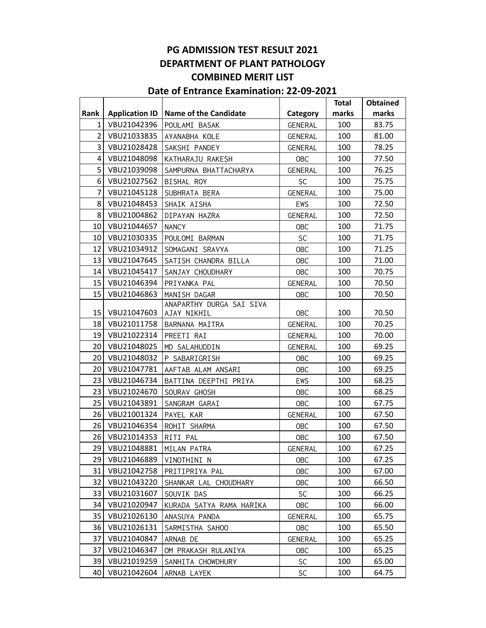|                |                       |                              |                | <b>Total</b> | <b>Obtained</b> |
|----------------|-----------------------|------------------------------|----------------|--------------|-----------------|
| Rank           | <b>Application ID</b> | <b>Name of the Candidate</b> | Category       | marks        | marks           |
| 1              | VBU21042396           | POULAMI BASAK                | <b>GENERAL</b> | 100          | 83.75           |
| $\overline{2}$ | VBU21033835           | AYANABHA KOLE                | <b>GENERAL</b> | 100          | 81.00           |
| 3              | VBU21028428           | SAKSHI PANDEY                | GENERAL        | 100          | 78.25           |
| $\overline{4}$ | VBU21048098           | KATHARAJU RAKESH             | <b>OBC</b>     | 100          | 77.50           |
| 5              | VBU21039098           | SAMPURNA BHATTACHARYA        | <b>GENERAL</b> | 100          | 76.25           |
| 6              | VBU21027562           | BISHAL ROY                   | <b>SC</b>      | 100          | 75.75           |
| $\overline{7}$ | VBU21045128           | SUBHRATA BERA                | <b>GENERAL</b> | 100          | 75.00           |
| 8              | VBU21048453           | SHAIK AISHA                  | EWS            | 100          | 72.50           |
| 8              | VBU21004862           | DIPAYAN HAZRA                | <b>GENERAL</b> | 100          | 72.50           |
| 10             | VBU21044657           | <b>NANCY</b>                 | <b>OBC</b>     | 100          | 71.75           |
| 10             | VBU21030335           | POULOMI BARMAN               | <b>SC</b>      | 100          | 71.75           |
| 12             | VBU21034912           | SOMAGANI SRAVYA              | <b>OBC</b>     | 100          | 71.25           |
| 13             | VBU21047645           | SATISH CHANDRA BILLA         | <b>OBC</b>     | 100          | 71.00           |
| 14             | VBU21045417           | SANJAY CHOUDHARY             | <b>OBC</b>     | 100          | 70.75           |
| 15             | VBU21046394           | PRIYANKA PAL                 | <b>GENERAL</b> | 100          | 70.50           |
| 15             | VBU21046863           | MANISH DAGAR                 | <b>OBC</b>     | 100          | 70.50           |
|                |                       | ANAPARTHY DURGA SAI SIVA     |                |              |                 |
| 15             | VBU21047603           | AJAY NIKHIL                  | <b>OBC</b>     | 100          | 70.50           |
| 18             | VBU21011758           | BARNANA MAITRA               | GENERAL        | 100          | 70.25           |
| 19             | VBU21022314           | PREETI RAI                   | <b>GENERAL</b> | 100          | 70.00           |
| 20             | VBU21048025           | MD SALAHUDDIN                | <b>GENERAL</b> | 100          | 69.25           |
| 20             | VBU21048032           | P SABARIGRISH                | <b>OBC</b>     | 100          | 69.25           |
| 20             | VBU21047781           | AAFTAB ALAM ANSARI           | <b>OBC</b>     | 100          | 69.25           |
| 23             | VBU21046734           | BATTINA DEEPTHI PRIYA        | EWS            | 100          | 68.25           |
| 23             | VBU21024670           | SOURAV GHOSH                 | <b>OBC</b>     | 100          | 68.25           |
| 25             | VBU21043891           | SANGRAM GARAI                | <b>OBC</b>     | 100          | 67.75           |
| 26             | VBU21001324           | PAYEL KAR                    | GENERAL        | 100          | 67.50           |
| 26             | VBU21046354           | ROHIT SHARMA                 | <b>OBC</b>     | 100          | 67.50           |
| 26             | VBU21014353           | RITI PAL                     | <b>OBC</b>     | 100          | 67.50           |
| 29             | VBU21048881           | MILAN PATRA                  | <b>GENERAL</b> | 100          | 67.25           |
| 29             | VBU21046889           | VINOTHINI N                  | <b>OBC</b>     | 100          | 67.25           |
| 31             | VBU21042758           | PRITIPRIYA PAL               | <b>OBC</b>     | 100          | 67.00           |
| 32             | VBU21043220           | SHANKAR LAL CHOUDHARY        | 0BC            | 100          | 66.50           |
| 33             | VBU21031607           | SOUVIK DAS                   | SC             | 100          | 66.25           |
| 34             | VBU21020947           | KURADA SATYA RAMA HARIKA     | <b>OBC</b>     | 100          | 66.00           |
| 35             | VBU21026130           | ANASUYA PANDA                | <b>GENERAL</b> | 100          | 65.75           |
| 36             | VBU21026131           | SARMISTHA SAHOO              | <b>OBC</b>     | 100          | 65.50           |
| 37             | VBU21040847           | ARNAB DE                     | <b>GENERAL</b> | 100          | 65.25           |
| 37             | VBU21046347           | OM PRAKASH RULANIYA          | 0BC            | 100          | 65.25           |
| 39             | VBU21019259           | SANHITA CHOWDHURY            | <b>SC</b>      | 100          | 65.00           |
| 40             | VBU21042604           | ARNAB LAYEK                  | <b>SC</b>      | 100          | 64.75           |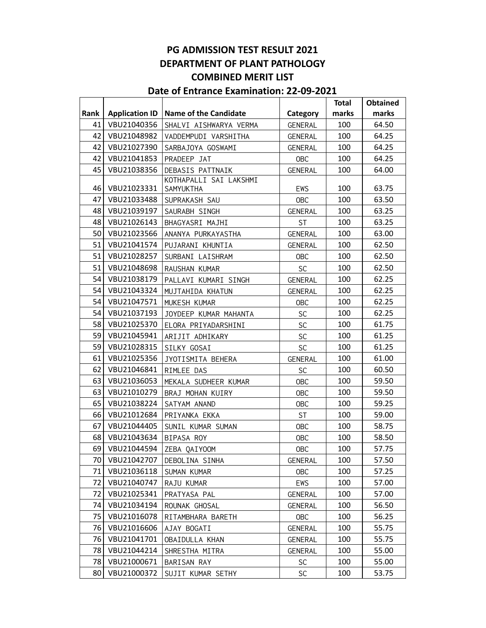|          |                       |                                     |                | <b>Total</b> | <b>Obtained</b> |
|----------|-----------------------|-------------------------------------|----------------|--------------|-----------------|
| Rank     | <b>Application ID</b> | <b>Name of the Candidate</b>        | Category       | marks        | marks           |
| 41       | VBU21040356           | SHALVI AISHWARYA VERMA              | GENERAL        | 100          | 64.50           |
| 42       | VBU21048982           | VADDEMPUDI VARSHITHA                | GENERAL        | 100          | 64.25           |
| 42       | VBU21027390           | SARBAJOYA GOSWAMI                   | GENERAL        | 100          | 64.25           |
| 42       | VBU21041853           | PRADEEP JAT                         | <b>OBC</b>     | 100          | 64.25           |
| 45       | VBU21038356           | DEBASIS PATTNAIK                    | <b>GENERAL</b> | 100          | 64.00           |
| 46       | VBU21023331           | KOTHAPALLI SAI LAKSHMI<br>SAMYUKTHA | EWS            | 100          | 63.75           |
| 47       | VBU21033488           | SUPRAKASH SAU                       | <b>OBC</b>     | 100          | 63.50           |
| 48       | VBU21039197           |                                     |                | 100          | 63.25           |
| 48       | VBU21026143           | SAURABH SINGH                       | GENERAL        | 100          | 63.25           |
| 50       |                       | BHAGYASRI MAJHI                     | <b>ST</b>      |              |                 |
|          | VBU21023566           | ANANYA PURKAYASTHA                  | GENERAL        | 100          | 63.00           |
| 51<br>51 | VBU21041574           | PUJARANI KHUNTIA                    | GENERAL        | 100<br>100   | 62.50<br>62.50  |
|          | VBU21028257           | SURBANI LAISHRAM                    | <b>OBC</b>     |              |                 |
| 51       | VBU21048698           | RAUSHAN KUMAR                       | <b>SC</b>      | 100          | 62.50           |
| 54       | VBU21038179           | PALLAVI KUMARI SINGH                | <b>GENERAL</b> | 100          | 62.25           |
| 54       | VBU21043324           | MUJTAHIDA KHATUN                    | GENERAL        | 100          | 62.25           |
| 54       | VBU21047571           | MUKESH KUMAR                        | <b>OBC</b>     | 100          | 62.25           |
| 54       | VBU21037193           | JOYDEEP KUMAR MAHANTA               | <b>SC</b>      | 100          | 62.25           |
| 58       | VBU21025370           | ELORA PRIYADARSHINI                 | <b>SC</b>      | 100          | 61.75           |
| 59       | VBU21045941           | ARIJIT ADHIKARY                     | $\mathsf{SC}$  | 100          | 61.25           |
| 59       | VBU21028315           | SILKY GOSAI                         | <b>SC</b>      | 100          | 61.25           |
| 61       | VBU21025356           | JYOTISMITA BEHERA                   | <b>GENERAL</b> | 100          | 61.00           |
| 62       | VBU21046841           | RIMLEE DAS                          | <b>SC</b>      | 100          | 60.50           |
| 63       | VBU21036053           | MEKALA SUDHEER KUMAR                | <b>OBC</b>     | 100          | 59.50           |
| 63       | VBU21010279           | BRAJ MOHAN KUIRY                    | <b>OBC</b>     | 100          | 59.50           |
| 65       | VBU21038224           | SATYAM ANAND                        | OBC            | 100          | 59.25           |
| 66       | VBU21012684           | PRIYANKA EKKA                       | <b>ST</b>      | 100          | 59.00           |
| 67       | VBU21044405           | SUNIL KUMAR SUMAN                   | <b>OBC</b>     | 100          | 58.75           |
| 68       | VBU21043634           | BIPASA ROY                          | <b>OBC</b>     | 100          | 58.50           |
| 69       | VBU21044594           | ZEBA QAIYOOM                        | <b>OBC</b>     | 100          | 57.75           |
| 70       | VBU21042707           | DEBOLINA SINHA                      | GENERAL        | 100          | 57.50           |
| 71       | VBU21036118           | SUMAN KUMAR                         | <b>OBC</b>     | 100          | 57.25           |
| 72       | VBU21040747           | RAJU KUMAR                          | EWS            | 100          | 57.00           |
| 72       | VBU21025341           | PRATYASA PAL                        | <b>GENERAL</b> | 100          | 57.00           |
| 74       | VBU21034194           | ROUNAK GHOSAL                       | GENERAL        | 100          | 56.50           |
| 75       | VBU21016078           | RITAMBHARA BARETH                   | <b>OBC</b>     | 100          | 56.25           |
| 76       | VBU21016606           | AJAY BOGATI                         | <b>GENERAL</b> | 100          | 55.75           |
| 76       | VBU21041701           | OBAIDULLA KHAN                      | <b>GENERAL</b> | 100          | 55.75           |
| 78       | VBU21044214           | SHRESTHA MITRA                      | GENERAL        | 100          | 55.00           |
| 78       | VBU21000671           | BARISAN RAY                         | <b>SC</b>      | 100          | 55.00           |
| 80       | VBU21000372           | SUJIT KUMAR SETHY                   | <b>SC</b>      | 100          | 53.75           |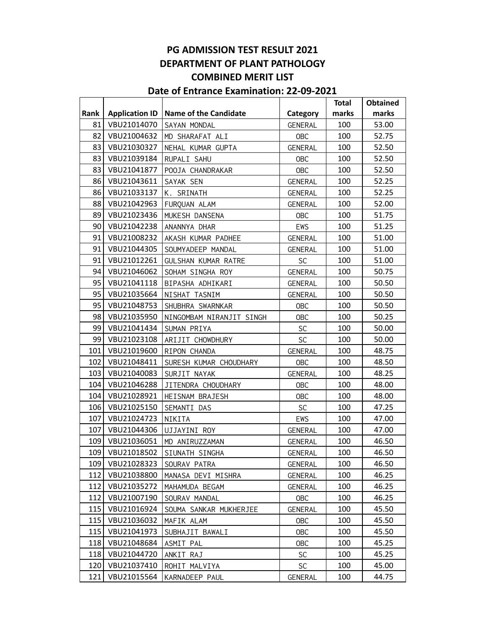|      |                       |                              |                | <b>Total</b> | <b>Obtained</b> |
|------|-----------------------|------------------------------|----------------|--------------|-----------------|
| Rank | <b>Application ID</b> | <b>Name of the Candidate</b> | Category       | marks        | marks           |
| 81   | VBU21014070           | SAYAN MONDAL                 | <b>GENERAL</b> | 100          | 53.00           |
| 82   | VBU21004632           | MD SHARAFAT ALI              | <b>OBC</b>     | 100          | 52.75           |
| 83   | VBU21030327           | NEHAL KUMAR GUPTA            | GENERAL        | 100          | 52.50           |
| 83   | VBU21039184           | RUPALI SAHU                  | <b>OBC</b>     | 100          | 52.50           |
| 83   | VBU21041877           | POOJA CHANDRAKAR             | <b>OBC</b>     | 100          | 52.50           |
| 86   | VBU21043611           | SAYAK SEN                    | GENERAL        | 100          | 52.25           |
| 86   | VBU21033137           | K. SRINATH                   | GENERAL        | 100          | 52.25           |
| 88   | VBU21042963           | FURQUAN ALAM                 | <b>GENERAL</b> | 100          | 52.00           |
| 89   | VBU21023436           | MUKESH DANSENA               | <b>OBC</b>     | 100          | 51.75           |
| 90   | VBU21042238           | ANANNYA DHAR                 | EWS            | 100          | 51.25           |
| 91   | VBU21008232           | AKASH KUMAR PADHEE           | GENERAL        | 100          | 51.00           |
| 91   | VBU21044305           | SOUMYADEEP MANDAL            | GENERAL        | 100          | 51.00           |
| 91   | VBU21012261           | GULSHAN KUMAR RATRE          | <b>SC</b>      | 100          | 51.00           |
| 94   | VBU21046062           | SOHAM SINGHA ROY             | GENERAL        | 100          | 50.75           |
| 95   | VBU21041118           | BIPASHA ADHIKARI             | GENERAL        | 100          | 50.50           |
| 95   | VBU21035664           | NISHAT TASNIM                | <b>GENERAL</b> | 100          | 50.50           |
| 95   | VBU21048753           | SHUBHRA SWARNKAR             | <b>OBC</b>     | 100          | 50.50           |
| 98   | VBU21035950           | NINGOMBAM NIRANJIT SINGH     | <b>OBC</b>     | 100          | 50.25           |
| 99   | VBU21041434           | SUMAN PRIYA                  | <b>SC</b>      | 100          | 50.00           |
| 99   | VBU21023108           | ARIJIT CHOWDHURY             | <b>SC</b>      | 100          | 50.00           |
| 101  | VBU21019600           | RIPON CHANDA                 | GENERAL        | 100          | 48.75           |
| 102  | VBU21048411           | SURESH KUMAR CHOUDHARY       | <b>OBC</b>     | 100          | 48.50           |
| 103  | VBU21040083           | SURJIT NAYAK                 | GENERAL        | 100          | 48.25           |
| 104  | VBU21046288           | JITENDRA CHOUDHARY           | <b>OBC</b>     | 100          | 48.00           |
| 104  | VBU21028921           | HEISNAM BRAJESH              | <b>OBC</b>     | 100          | 48.00           |
| 106  | VBU21025150           | SEMANTI DAS                  | <b>SC</b>      | 100          | 47.25           |
| 107  | VBU21024723           | NIKITA                       | EWS            | 100          | 47.00           |
| 107  | VBU21044306           | UJJAYINI ROY                 | GENERAL        | 100          | 47.00           |
| 109  | VBU21036051           | MD ANIRUZZAMAN               | <b>GENERAL</b> | 100          | 46.50           |
| 109  | VBU21018502           | SIUNATH SINGHA               | GENERAL        | 100          | 46.50           |
| 109  | VBU21028323           | SOURAV PATRA                 | GENERAL        | 100          | 46.50           |
| 112  | VBU21038800           | MANASA DEVI MISHRA           | <b>GENERAL</b> | 100          | 46.25           |
| 112  | VBU21035272           | MAHAMUDA BEGAM               | GENERAL        | 100          | 46.25           |
| 112  | VBU21007190           | SOURAV MANDAL                | <b>OBC</b>     | 100          | 46.25           |
| 115  | VBU21016924           | SOUMA SANKAR MUKHERJEE       | <b>GENERAL</b> | 100          | 45.50           |
| 115  | VBU21036032           | MAFIK ALAM                   | <b>OBC</b>     | 100          | 45.50           |
| 115  | VBU21041973           | SUBHAJIT BAWALI              | <b>OBC</b>     | 100          | 45.50           |
| 118  | VBU21048684           | ASMIT PAL                    | <b>OBC</b>     | 100          | 45.25           |
| 118  | VBU21044720           | ANKIT RAJ                    | <b>SC</b>      | 100          | 45.25           |
| 120  | VBU21037410           | ROHIT MALVIYA                | SC             | 100          | 45.00           |
| 121  | VBU21015564           | KARNADEEP PAUL               | <b>GENERAL</b> | 100          | 44.75           |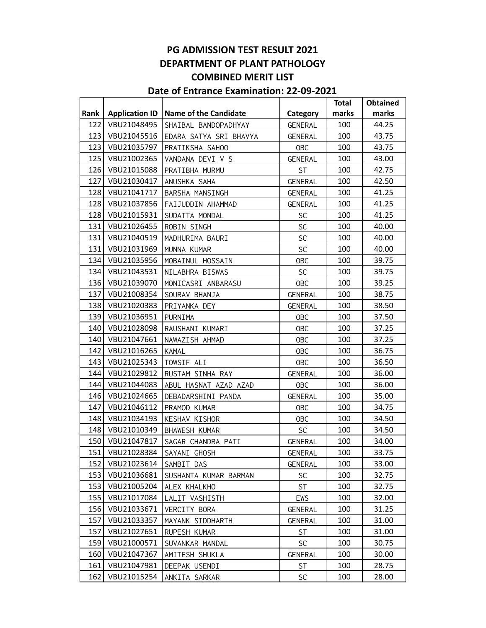|      |                       |                              |                | <b>Total</b> | Obtained |
|------|-----------------------|------------------------------|----------------|--------------|----------|
| Rank | <b>Application ID</b> | <b>Name of the Candidate</b> | Category       | marks        | marks    |
| 122  | VBU21048495           | SHAIBAL BANDOPADHYAY         | <b>GENERAL</b> | 100          | 44.25    |
| 123  | VBU21045516           | EDARA SATYA SRI BHAVYA       | <b>GENERAL</b> | 100          | 43.75    |
| 123  | VBU21035797           | PRATIKSHA SAHOO              | <b>OBC</b>     | 100          | 43.75    |
| 125  | VBU21002365           | VANDANA DEVI V S             | <b>GENERAL</b> | 100          | 43.00    |
| 126  | VBU21015088           | PRATIBHA MURMU               | <b>ST</b>      | 100          | 42.75    |
| 127  | VBU21030417           | ANUSHKA SAHA                 | <b>GENERAL</b> | 100          | 42.50    |
| 128  | VBU21041717           | BARSHA MANSINGH              | <b>GENERAL</b> | 100          | 41.25    |
| 128  | VBU21037856           | FAIJUDDIN AHAMMAD            | <b>GENERAL</b> | 100          | 41.25    |
| 128  | VBU21015931           | SUDATTA MONDAL               | SC             | 100          | 41.25    |
| 131  | VBU21026455           | ROBIN SINGH                  | SC             | 100          | 40.00    |
| 131  | VBU21040519           | MADHURIMA BAURI              | <b>SC</b>      | 100          | 40.00    |
| 131  | VBU21031969           | MUNNA KUMAR                  | SC             | 100          | 40.00    |
| 134  | VBU21035956           | MOBAINUL HOSSAIN             | <b>OBC</b>     | 100          | 39.75    |
| 134  | VBU21043531           | NILABHRA BISWAS              | SC             | 100          | 39.75    |
| 136  | VBU21039070           | MONICASRI ANBARASU           | <b>OBC</b>     | 100          | 39.25    |
| 137  | VBU21008354           | SOURAV BHANJA                | GENERAL        | 100          | 38.75    |
| 138  | VBU21020383           | PRIYANKA DEY                 | <b>GENERAL</b> | 100          | 38.50    |
| 139  | VBU21036951           | PURNIMA                      | <b>OBC</b>     | 100          | 37.50    |
| 140  | VBU21028098           | RAUSHANI KUMARI              | <b>OBC</b>     | 100          | 37.25    |
| 140  | VBU21047661           | NAWAZISH AHMAD               | <b>OBC</b>     | 100          | 37.25    |
| 142  | VBU21016265           | KAMAL                        | <b>OBC</b>     | 100          | 36.75    |
| 143  | VBU21025343           | TOWSIF ALI                   | <b>OBC</b>     | 100          | 36.50    |
| 144  | VBU21029812           | RUSTAM SINHA RAY             | <b>GENERAL</b> | 100          | 36.00    |
| 144  | VBU21044083           | ABUL HASNAT AZAD AZAD        | <b>OBC</b>     | 100          | 36.00    |
| 146  | VBU21024665           | DEBADARSHINI PANDA           | <b>GENERAL</b> | 100          | 35.00    |
| 147  | VBU21046112           | PRAMOD KUMAR                 | <b>OBC</b>     | 100          | 34.75    |
| 148  | VBU21034193           | KESHAV KISHOR                | <b>OBC</b>     | 100          | 34.50    |
| 148  | VBU21010349           | <b>BHAWESH KUMAR</b>         | SC             | 100          | 34.50    |
| 150  | VBU21047817           | SAGAR CHANDRA PATI           | <b>GENERAL</b> | 100          | 34.00    |
| 151  | VBU21028384           | SAYANI GHOSH                 | <b>GENERAL</b> | 100          | 33.75    |
| 152  | VBU21023614           | SAMBIT DAS                   | <b>GENERAL</b> | 100          | 33.00    |
| 153  | VBU21036681           | SUSHANTA KUMAR BARMAN        | <b>SC</b>      | 100          | 32.75    |
| 153  | VBU21005204           | ALEX KHALKHO                 | ST             | 100          | 32.75    |
| 155  | VBU21017084           | LALIT VASHISTH               | EWS            | 100          | 32.00    |
| 156  | VBU21033671           | VERCITY BORA                 | <b>GENERAL</b> | 100          | 31.25    |
| 157  | VBU21033357           | MAYANK SIDDHARTH             | <b>GENERAL</b> | 100          | 31.00    |
| 157  | VBU21027651           | RUPESH KUMAR                 | <b>ST</b>      | 100          | 31.00    |
| 159  | VBU21000571           | SUVANKAR MANDAL              | <b>SC</b>      | 100          | 30.75    |
| 160  | VBU21047367           | AMITESH SHUKLA               | <b>GENERAL</b> | 100          | 30.00    |
| 161  | VBU21047981           | DEEPAK USENDI                | <b>ST</b>      | 100          | 28.75    |
| 162  | VBU21015254           | ANKITA SARKAR                | SC             | 100          | 28.00    |